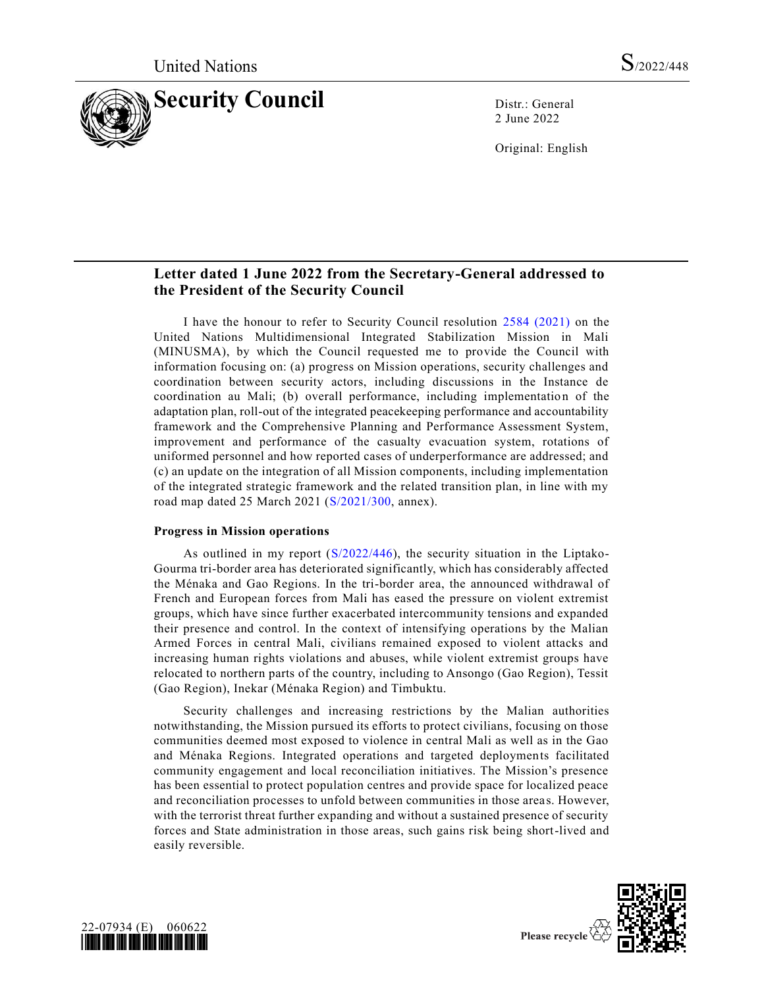

2 June 2022

Original: English

# **Letter dated 1 June 2022 from the Secretary-General addressed to the President of the Security Council**

I have the honour to refer to Security Council resolution [2584 \(2021\)](https://undocs.org/en/S/RES/2584(2021)) on the United Nations Multidimensional Integrated Stabilization Mission in Mali (MINUSMA), by which the Council requested me to provide the Council with information focusing on: (a) progress on Mission operations, security challenges and coordination between security actors, including discussions in the Instance de coordination au Mali; (b) overall performance, including implementation of the adaptation plan, roll-out of the integrated peacekeeping performance and accountability framework and the Comprehensive Planning and Performance Assessment System, improvement and performance of the casualty evacuation system, rotations of uniformed personnel and how reported cases of underperformance are addressed; and (c) an update on the integration of all Mission components, including implementation of the integrated strategic framework and the related transition plan, in line with my road map dated 25 March 2021 [\(S/2021/300,](https://undocs.org/en/S/2021/300) annex).

# **Progress in Mission operations**

As outlined in my report [\(S/2022/446\)](https://undocs.org/en/S/2022/446), the security situation in the Liptako-Gourma tri-border area has deteriorated significantly, which has considerably affected the Ménaka and Gao Regions. In the tri-border area, the announced withdrawal of French and European forces from Mali has eased the pressure on violent extremist groups, which have since further exacerbated intercommunity tensions and expanded their presence and control. In the context of intensifying operations by the Malian Armed Forces in central Mali, civilians remained exposed to violent attacks and increasing human rights violations and abuses, while violent extremist groups have relocated to northern parts of the country, including to Ansongo (Gao Region), Tessit (Gao Region), Inekar (Ménaka Region) and Timbuktu.

Security challenges and increasing restrictions by the Malian authorities notwithstanding, the Mission pursued its efforts to protect civilians, focusing on those communities deemed most exposed to violence in central Mali as well as in the Gao and Ménaka Regions. Integrated operations and targeted deployments facilitated community engagement and local reconciliation initiatives. The Mission's presence has been essential to protect population centres and provide space for localized peace and reconciliation processes to unfold between communities in those areas. However, with the terrorist threat further expanding and without a sustained presence of security forces and State administration in those areas, such gains risk being short-lived and easily reversible.



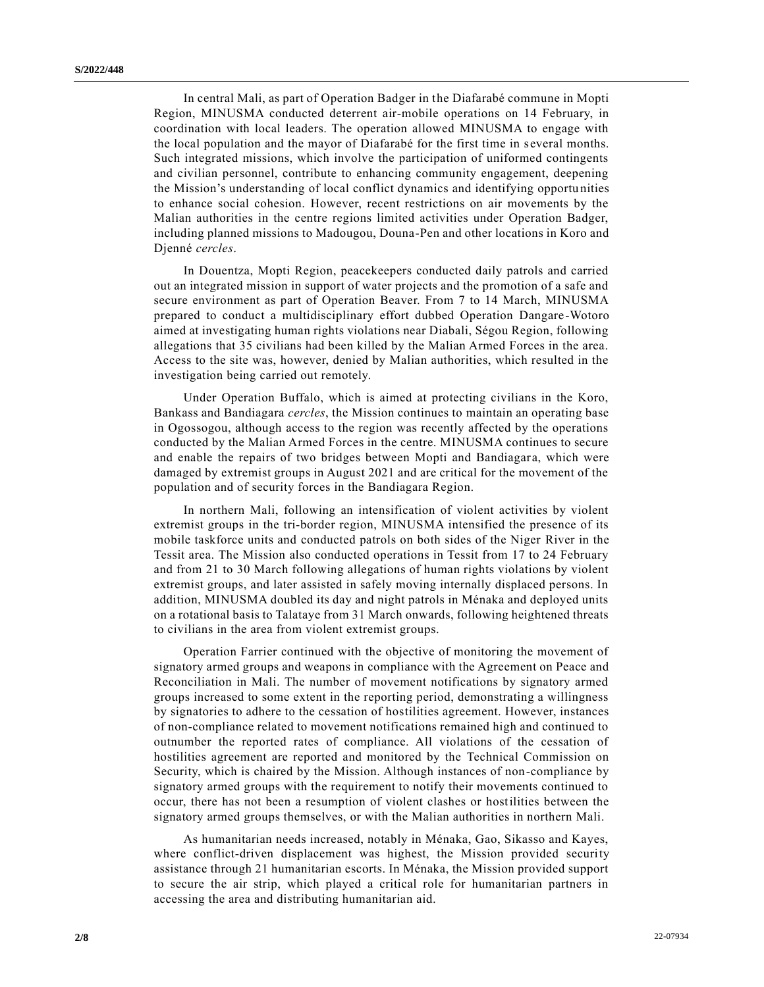In central Mali, as part of Operation Badger in the Diafarabé commune in Mopti Region, MINUSMA conducted deterrent air-mobile operations on 14 February, in coordination with local leaders. The operation allowed MINUSMA to engage with the local population and the mayor of Diafarabé for the first time in s everal months. Such integrated missions, which involve the participation of uniformed contingents and civilian personnel, contribute to enhancing community engagement, deepening the Mission's understanding of local conflict dynamics and identifying opportu nities to enhance social cohesion. However, recent restrictions on air movements by the Malian authorities in the centre regions limited activities under Operation Badger, including planned missions to Madougou, Douna-Pen and other locations in Koro and Djenné *cercles*.

In Douentza, Mopti Region, peacekeepers conducted daily patrols and carried out an integrated mission in support of water projects and the promotion of a safe and secure environment as part of Operation Beaver. From 7 to 14 March, MINUSMA prepared to conduct a multidisciplinary effort dubbed Operation Dangare-Wotoro aimed at investigating human rights violations near Diabali, Ségou Region, following allegations that 35 civilians had been killed by the Malian Armed Forces in the area. Access to the site was, however, denied by Malian authorities, which resulted in the investigation being carried out remotely.

Under Operation Buffalo, which is aimed at protecting civilians in the Koro, Bankass and Bandiagara *cercles*, the Mission continues to maintain an operating base in Ogossogou, although access to the region was recently affected by the operations conducted by the Malian Armed Forces in the centre. MINUSMA continues to secure and enable the repairs of two bridges between Mopti and Bandiagara, which were damaged by extremist groups in August 2021 and are critical for the movement of the population and of security forces in the Bandiagara Region.

In northern Mali, following an intensification of violent activities by violent extremist groups in the tri-border region, MINUSMA intensified the presence of its mobile taskforce units and conducted patrols on both sides of the Niger River in the Tessit area. The Mission also conducted operations in Tessit from 17 to 24 February and from 21 to 30 March following allegations of human rights violations by violent extremist groups, and later assisted in safely moving internally displaced persons. In addition, MINUSMA doubled its day and night patrols in Ménaka and deployed units on a rotational basis to Talataye from 31 March onwards, following heightened threats to civilians in the area from violent extremist groups.

Operation Farrier continued with the objective of monitoring the movement of signatory armed groups and weapons in compliance with the Agreement on Peace and Reconciliation in Mali. The number of movement notifications by signatory armed groups increased to some extent in the reporting period, demonstrating a willingness by signatories to adhere to the cessation of hostilities agreement. However, instances of non-compliance related to movement notifications remained high and continued to outnumber the reported rates of compliance. All violations of the cessation of hostilities agreement are reported and monitored by the Technical Commission on Security, which is chaired by the Mission. Although instances of non-compliance by signatory armed groups with the requirement to notify their movements continued to occur, there has not been a resumption of violent clashes or hostilities between the signatory armed groups themselves, or with the Malian authorities in northern Mali.

As humanitarian needs increased, notably in Ménaka, Gao, Sikasso and Kayes, where conflict-driven displacement was highest, the Mission provided security assistance through 21 humanitarian escorts. In Ménaka, the Mission provided support to secure the air strip, which played a critical role for humanitarian partners in accessing the area and distributing humanitarian aid.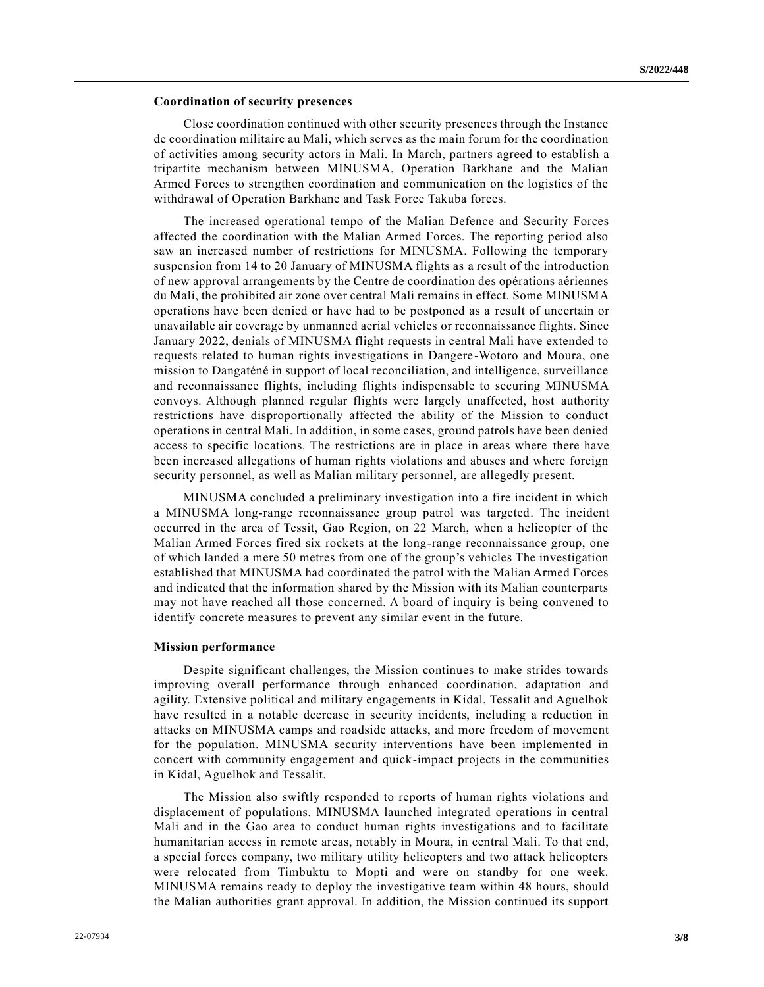# **Coordination of security presences**

Close coordination continued with other security presences through the Instance de coordination militaire au Mali, which serves as the main forum for the coordination of activities among security actors in Mali. In March, partners agreed to establish a tripartite mechanism between MINUSMA, Operation Barkhane and the Malian Armed Forces to strengthen coordination and communication on the logistics of the withdrawal of Operation Barkhane and Task Force Takuba forces.

The increased operational tempo of the Malian Defence and Security Forces affected the coordination with the Malian Armed Forces. The reporting period also saw an increased number of restrictions for MINUSMA. Following the temporary suspension from 14 to 20 January of MINUSMA flights as a result of the introduction of new approval arrangements by the Centre de coordination des opérations aériennes du Mali, the prohibited air zone over central Mali remains in effect. Some MINUSMA operations have been denied or have had to be postponed as a result of uncertain or unavailable air coverage by unmanned aerial vehicles or reconnaissance flights. Since January 2022, denials of MINUSMA flight requests in central Mali have extended to requests related to human rights investigations in Dangere-Wotoro and Moura, one mission to Dangaténé in support of local reconciliation, and intelligence, surveillance and reconnaissance flights, including flights indispensable to securing MINUSMA convoys. Although planned regular flights were largely unaffected, host authority restrictions have disproportionally affected the ability of the Mission to conduct operations in central Mali. In addition, in some cases, ground patrols have been denied access to specific locations. The restrictions are in place in areas where there have been increased allegations of human rights violations and abuses and where foreign security personnel, as well as Malian military personnel, are allegedly present.

MINUSMA concluded a preliminary investigation into a fire incident in which a MINUSMA long-range reconnaissance group patrol was targeted. The incident occurred in the area of Tessit, Gao Region, on 22 March, when a helicopter of the Malian Armed Forces fired six rockets at the long-range reconnaissance group, one of which landed a mere 50 metres from one of the group's vehicles The investigation established that MINUSMA had coordinated the patrol with the Malian Armed Forces and indicated that the information shared by the Mission with its Malian counterparts may not have reached all those concerned. A board of inquiry is being convened to identify concrete measures to prevent any similar event in the future.

#### **Mission performance**

Despite significant challenges, the Mission continues to make strides towards improving overall performance through enhanced coordination, adaptation and agility. Extensive political and military engagements in Kidal, Tessalit and Aguelhok have resulted in a notable decrease in security incidents, including a reduction in attacks on MINUSMA camps and roadside attacks, and more freedom of movement for the population. MINUSMA security interventions have been implemented in concert with community engagement and quick-impact projects in the communities in Kidal, Aguelhok and Tessalit.

The Mission also swiftly responded to reports of human rights violations and displacement of populations. MINUSMA launched integrated operations in central Mali and in the Gao area to conduct human rights investigations and to facilitate humanitarian access in remote areas, notably in Moura, in central Mali. To that end, a special forces company, two military utility helicopters and two attack helicopters were relocated from Timbuktu to Mopti and were on standby for one week. MINUSMA remains ready to deploy the investigative team within 48 hours, should the Malian authorities grant approval. In addition, the Mission continued its support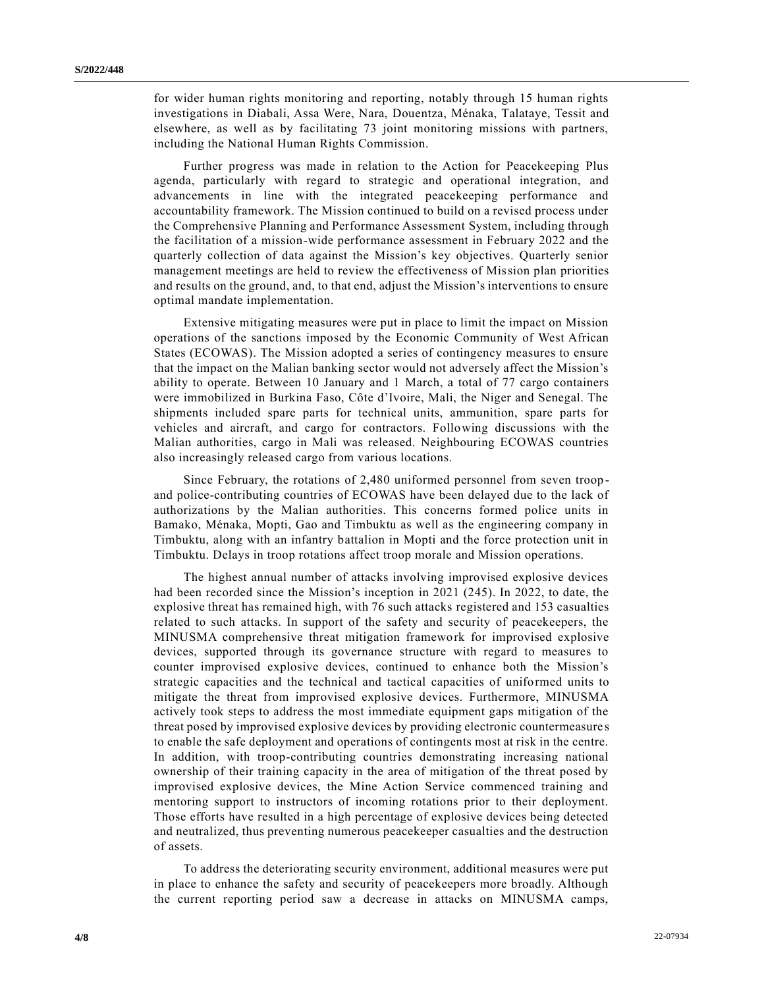for wider human rights monitoring and reporting, notably through 15 human rights investigations in Diabali, Assa Were, Nara, Douentza, Ménaka, Talataye, Tessit and elsewhere, as well as by facilitating 73 joint monitoring missions with partners, including the National Human Rights Commission.

Further progress was made in relation to the Action for Peacekeeping Plus agenda, particularly with regard to strategic and operational integration, and advancements in line with the integrated peacekeeping performance and accountability framework. The Mission continued to build on a revised process under the Comprehensive Planning and Performance Assessment System, including through the facilitation of a mission-wide performance assessment in February 2022 and the quarterly collection of data against the Mission's key objectives. Quarterly senior management meetings are held to review the effectiveness of Mission plan priorities and results on the ground, and, to that end, adjust the Mission's interventions to ensure optimal mandate implementation.

Extensive mitigating measures were put in place to limit the impact on Mission operations of the sanctions imposed by the Economic Community of West African States (ECOWAS). The Mission adopted a series of contingency measures to ensure that the impact on the Malian banking sector would not adversely affect the Mission's ability to operate. Between 10 January and 1 March, a total of 77 cargo containers were immobilized in Burkina Faso, Côte d'Ivoire, Mali, the Niger and Senegal. The shipments included spare parts for technical units, ammunition, spare parts for vehicles and aircraft, and cargo for contractors. Following discussions with the Malian authorities, cargo in Mali was released. Neighbouring ECOWAS countries also increasingly released cargo from various locations.

Since February, the rotations of 2,480 uniformed personnel from seven troop and police-contributing countries of ECOWAS have been delayed due to the lack of authorizations by the Malian authorities. This concerns formed police units in Bamako, Ménaka, Mopti, Gao and Timbuktu as well as the engineering company in Timbuktu, along with an infantry battalion in Mopti and the force protection unit in Timbuktu. Delays in troop rotations affect troop morale and Mission operations.

The highest annual number of attacks involving improvised explosive devices had been recorded since the Mission's inception in 2021 (245). In 2022, to date, the explosive threat has remained high, with 76 such attacks registered and 153 casualties related to such attacks. In support of the safety and security of peacekeepers, the MINUSMA comprehensive threat mitigation framework for improvised explosive devices, supported through its governance structure with regard to measures to counter improvised explosive devices, continued to enhance both the Mission's strategic capacities and the technical and tactical capacities of uniformed units to mitigate the threat from improvised explosive devices. Furthermore, MINUSMA actively took steps to address the most immediate equipment gaps mitigation of the threat posed by improvised explosive devices by providing electronic countermeasure s to enable the safe deployment and operations of contingents most at risk in the centre. In addition, with troop-contributing countries demonstrating increasing national ownership of their training capacity in the area of mitigation of the threat posed by improvised explosive devices, the Mine Action Service commenced training and mentoring support to instructors of incoming rotations prior to their deployment. Those efforts have resulted in a high percentage of explosive devices being detected and neutralized, thus preventing numerous peacekeeper casualties and the destruction of assets.

To address the deteriorating security environment, additional measures were put in place to enhance the safety and security of peacekeepers more broadly. Although the current reporting period saw a decrease in attacks on MINUSMA camps,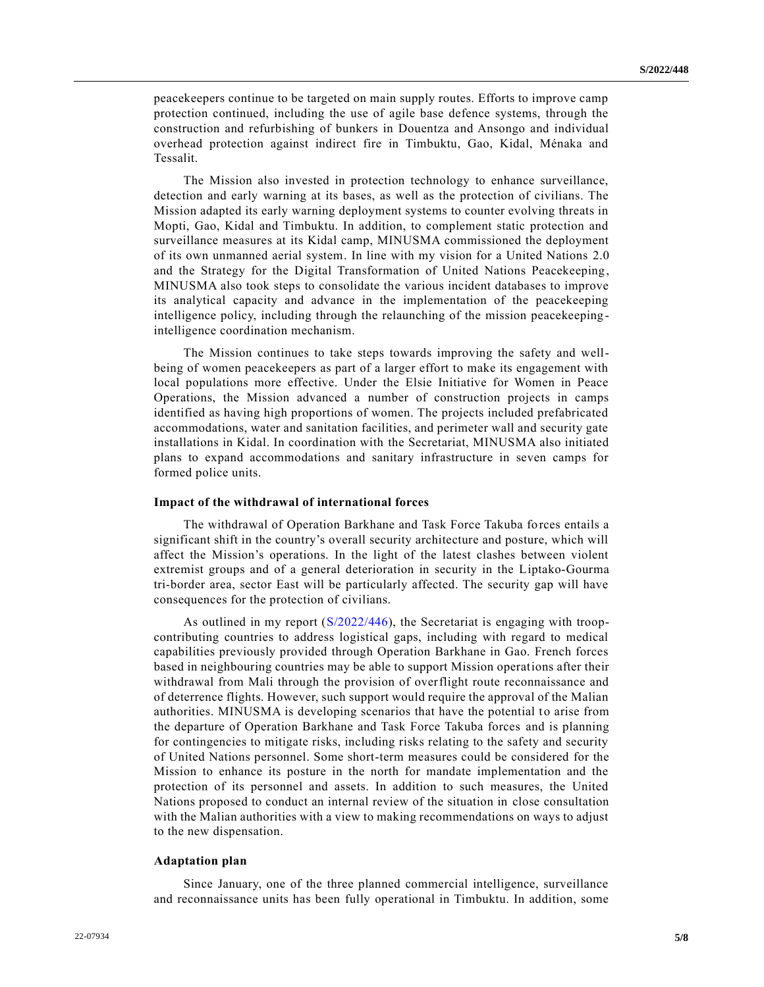peacekeepers continue to be targeted on main supply routes. Efforts to improve camp protection continued, including the use of agile base defence systems, through the construction and refurbishing of bunkers in Douentza and Ansongo and individual overhead protection against indirect fire in Timbuktu, Gao, Kidal, Ménaka and Tessalit.

The Mission also invested in protection technology to enhance surveillance, detection and early warning at its bases, as well as the protection of civilians. The Mission adapted its early warning deployment systems to counter evolving threats in Mopti, Gao, Kidal and Timbuktu. In addition, to complement static protection and surveillance measures at its Kidal camp, MINUSMA commissioned the deployment of its own unmanned aerial system. In line with my vision for a United Nations 2.0 and the Strategy for the Digital Transformation of United Nations Peacekeeping, MINUSMA also took steps to consolidate the various incident databases to improve its analytical capacity and advance in the implementation of the peacekeeping intelligence policy, including through the relaunching of the mission peacekeeping intelligence coordination mechanism.

The Mission continues to take steps towards improving the safety and wellbeing of women peacekeepers as part of a larger effort to make its engagement with local populations more effective. Under the Elsie Initiative for Women in Peace Operations, the Mission advanced a number of construction projects in camps identified as having high proportions of women. The projects included prefabricated accommodations, water and sanitation facilities, and perimeter wall and security gate installations in Kidal. In coordination with the Secretariat, MINUSMA also initiated plans to expand accommodations and sanitary infrastructure in seven camps for formed police units.

#### **Impact of the withdrawal of international forces**

The withdrawal of Operation Barkhane and Task Force Takuba forces entails a significant shift in the country's overall security architecture and posture, which will affect the Mission's operations. In the light of the latest clashes between violent extremist groups and of a general deterioration in security in the Liptako-Gourma tri-border area, sector East will be particularly affected. The security gap will have consequences for the protection of civilians.

As outlined in my report [\(S/2022/446\)](https://undocs.org/en/S/2022/446), the Secretariat is engaging with troopcontributing countries to address logistical gaps, including with regard to medical capabilities previously provided through Operation Barkhane in Gao. French forces based in neighbouring countries may be able to support Mission operations after their withdrawal from Mali through the provision of overflight route reconnaissance and of deterrence flights. However, such support would require the approval of the Malian authorities. MINUSMA is developing scenarios that have the potential to arise from the departure of Operation Barkhane and Task Force Takuba forces and is planning for contingencies to mitigate risks, including risks relating to the safety and security of United Nations personnel. Some short-term measures could be considered for the Mission to enhance its posture in the north for mandate implementation and the protection of its personnel and assets. In addition to such measures, the United Nations proposed to conduct an internal review of the situation in close consultation with the Malian authorities with a view to making recommendations on ways to adjust to the new dispensation.

## **Adaptation plan**

Since January, one of the three planned commercial intelligence, surveillance and reconnaissance units has been fully operational in Timbuktu. In addition, some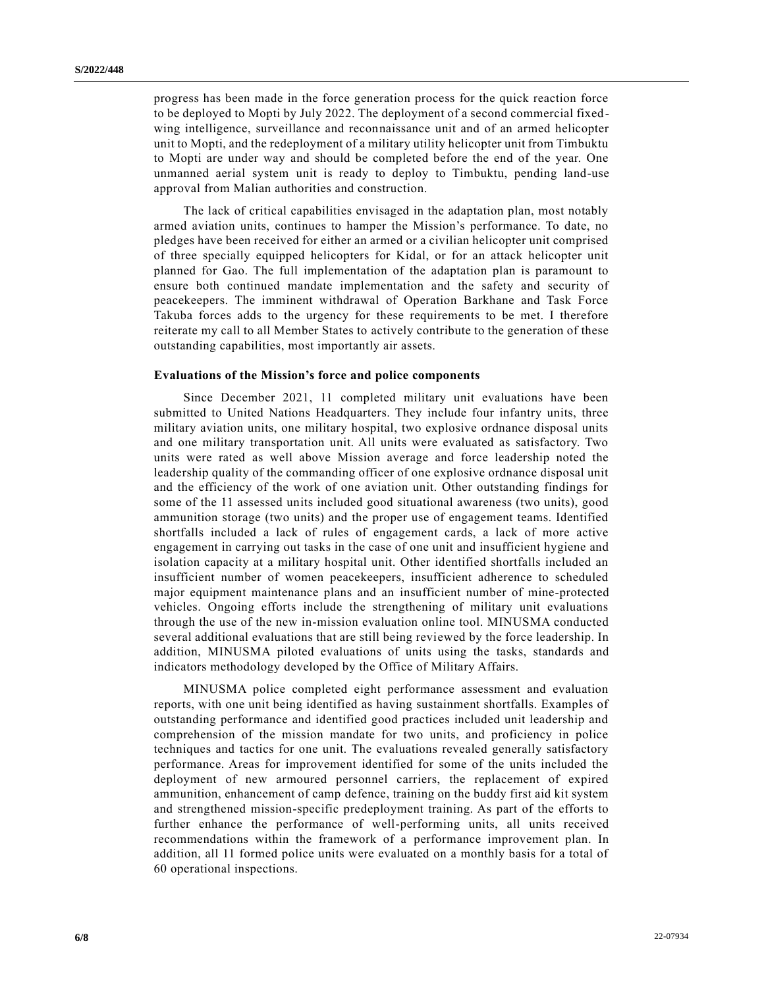progress has been made in the force generation process for the quick reaction force to be deployed to Mopti by July 2022. The deployment of a second commercial fixed wing intelligence, surveillance and reconnaissance unit and of an armed helicopter unit to Mopti, and the redeployment of a military utility helicopter unit from Timbuktu to Mopti are under way and should be completed before the end of the year. One unmanned aerial system unit is ready to deploy to Timbuktu, pending land-use approval from Malian authorities and construction.

The lack of critical capabilities envisaged in the adaptation plan, most notably armed aviation units, continues to hamper the Mission's performance. To date, no pledges have been received for either an armed or a civilian helicopter unit comprised of three specially equipped helicopters for Kidal, or for an attack helicopter unit planned for Gao. The full implementation of the adaptation plan is paramount to ensure both continued mandate implementation and the safety and security of peacekeepers. The imminent withdrawal of Operation Barkhane and Task Force Takuba forces adds to the urgency for these requirements to be met. I therefore reiterate my call to all Member States to actively contribute to the generation of these outstanding capabilities, most importantly air assets.

### **Evaluations of the Mission's force and police components**

Since December 2021, 11 completed military unit evaluations have been submitted to United Nations Headquarters. They include four infantry units, three military aviation units, one military hospital, two explosive ordnance disposal units and one military transportation unit. All units were evaluated as satisfactory. Two units were rated as well above Mission average and force leadership noted the leadership quality of the commanding officer of one explosive ordnance disposal unit and the efficiency of the work of one aviation unit. Other outstanding findings for some of the 11 assessed units included good situational awareness (two units), good ammunition storage (two units) and the proper use of engagement teams. Identified shortfalls included a lack of rules of engagement cards, a lack of more active engagement in carrying out tasks in the case of one unit and insufficient hygiene and isolation capacity at a military hospital unit. Other identified shortfalls included an insufficient number of women peacekeepers, insufficient adherence to scheduled major equipment maintenance plans and an insufficient number of mine-protected vehicles. Ongoing efforts include the strengthening of military unit evaluations through the use of the new in-mission evaluation online tool. MINUSMA conducted several additional evaluations that are still being reviewed by the force leadership. In addition, MINUSMA piloted evaluations of units using the tasks, standards and indicators methodology developed by the Office of Military Affairs.

MINUSMA police completed eight performance assessment and evaluation reports, with one unit being identified as having sustainment shortfalls. Examples of outstanding performance and identified good practices included unit leadership and comprehension of the mission mandate for two units, and proficiency in police techniques and tactics for one unit. The evaluations revealed generally satisfactory performance. Areas for improvement identified for some of the units included the deployment of new armoured personnel carriers, the replacement of expired ammunition, enhancement of camp defence, training on the buddy first aid kit system and strengthened mission-specific predeployment training. As part of the efforts to further enhance the performance of well-performing units, all units received recommendations within the framework of a performance improvement plan. In addition, all 11 formed police units were evaluated on a monthly basis for a total of 60 operational inspections.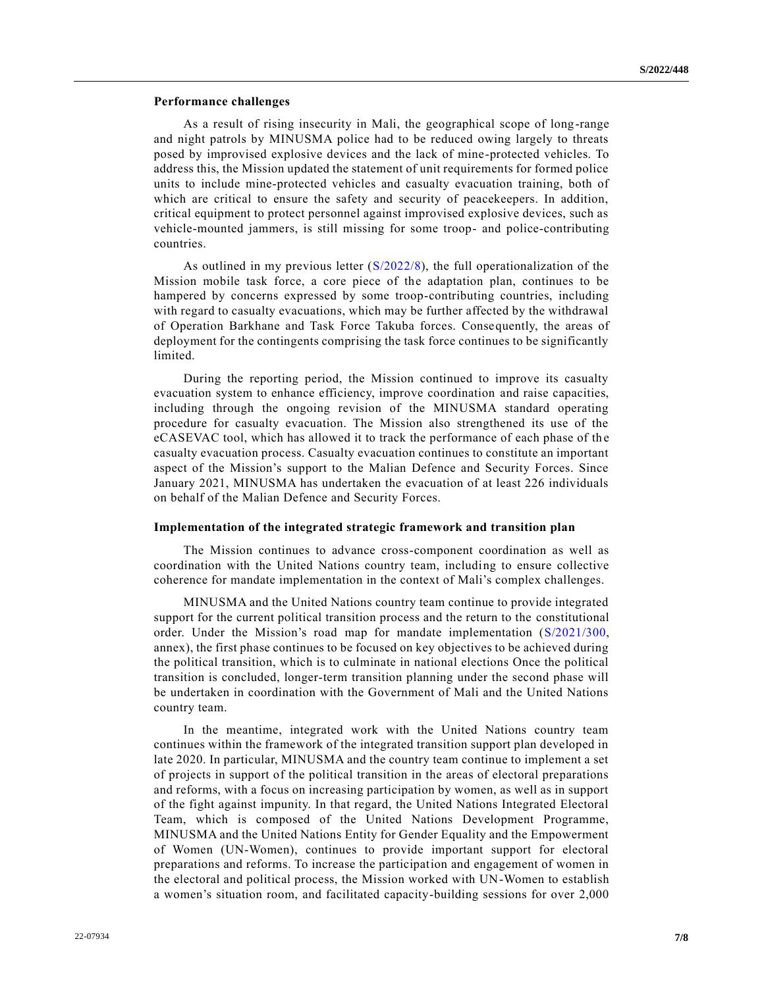## **Performance challenges**

As a result of rising insecurity in Mali, the geographical scope of long-range and night patrols by MINUSMA police had to be reduced owing largely to threats posed by improvised explosive devices and the lack of mine-protected vehicles. To address this, the Mission updated the statement of unit requirements for formed police units to include mine-protected vehicles and casualty evacuation training, both of which are critical to ensure the safety and security of peacekeepers. In addition, critical equipment to protect personnel against improvised explosive devices, such as vehicle-mounted jammers, is still missing for some troop- and police-contributing countries.

As outlined in my previous letter  $(S/2022/8)$ , the full operationalization of the Mission mobile task force, a core piece of the adaptation plan, continues to be hampered by concerns expressed by some troop-contributing countries, including with regard to casualty evacuations, which may be further affected by the withdrawal of Operation Barkhane and Task Force Takuba forces. Consequently, the areas of deployment for the contingents comprising the task force continues to be significantly limited.

During the reporting period, the Mission continued to improve its casualty evacuation system to enhance efficiency, improve coordination and raise capacities, including through the ongoing revision of the MINUSMA standard operating procedure for casualty evacuation. The Mission also strengthened its use of the eCASEVAC tool, which has allowed it to track the performance of each phase of the casualty evacuation process. Casualty evacuation continues to constitute an important aspect of the Mission's support to the Malian Defence and Security Forces. Since January 2021, MINUSMA has undertaken the evacuation of at least 226 individuals on behalf of the Malian Defence and Security Forces.

## **Implementation of the integrated strategic framework and transition plan**

The Mission continues to advance cross-component coordination as well as coordination with the United Nations country team, including to ensure collective coherence for mandate implementation in the context of Mali's complex challenges.

MINUSMA and the United Nations country team continue to provide integrated support for the current political transition process and the return to the constitutional order. Under the Mission's road map for mandate implementation [\(S/2021/300,](https://undocs.org/en/S/2021/300) annex), the first phase continues to be focused on key objectives to be achieved during the political transition, which is to culminate in national elections Once the political transition is concluded, longer-term transition planning under the second phase will be undertaken in coordination with the Government of Mali and the United Nations country team.

In the meantime, integrated work with the United Nations country team continues within the framework of the integrated transition support plan developed in late 2020. In particular, MINUSMA and the country team continue to implement a set of projects in support of the political transition in the areas of electoral preparations and reforms, with a focus on increasing participation by women, as well as in support of the fight against impunity. In that regard, the United Nations Integrated Electoral Team, which is composed of the United Nations Development Programme, MINUSMA and the United Nations Entity for Gender Equality and the Empowerment of Women (UN-Women), continues to provide important support for electoral preparations and reforms. To increase the participation and engagement of women in the electoral and political process, the Mission worked with UN-Women to establish a women's situation room, and facilitated capacity-building sessions for over 2,000